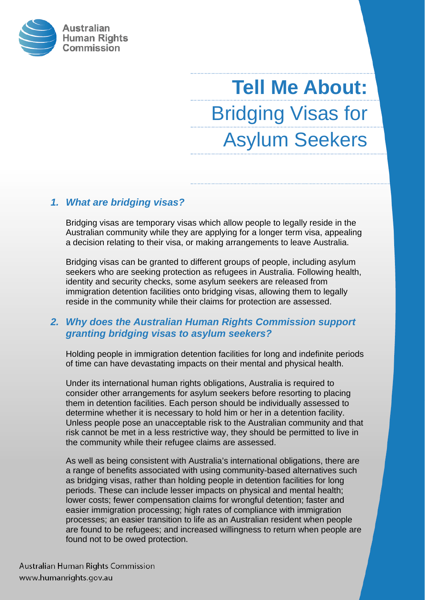

# **Tell Me About:** Bridging Visas for Asylum Seekers

# *1. What are bridging visas?*

Bridging visas are temporary visas which allow people to legally reside in the Australian community while they are applying for a longer term visa, appealing a decision relating to their visa, or making arrangements to leave Australia.

Bridging visas can be granted to different groups of people, including asylum seekers who are seeking protection as refugees in Australia. Following health, identity and security checks, some asylum seekers are released from immigration detention facilities onto bridging visas, allowing them to legally reside in the community while their claims for protection are assessed.

# *2. Why does the Australian Human Rights Commission support granting bridging visas to asylum seekers?*

Holding people in immigration detention facilities for long and indefinite periods of time can have devastating impacts on their mental and physical health.

Under its international human rights obligations, Australia is required to consider other arrangements for asylum seekers before resorting to placing them in detention facilities. Each person should be individually assessed to determine whether it is necessary to hold him or her in a detention facility. Unless people pose an unacceptable risk to the Australian community and that risk cannot be met in a less restrictive way, they should be permitted to live in the community while their refugee claims are assessed.

As well as being consistent with Australia's international obligations, there are a range of benefits associated with using community-based alternatives such as bridging visas, rather than holding people in detention facilities for long periods. These can include lesser impacts on physical and mental health; lower costs; fewer compensation claims for wrongful detention; faster and easier immigration processing; high rates of compliance with immigration processes; an easier transition to life as an Australian resident when people are found to be refugees; and increased willingness to return when people are found not to be owed protection.

Australian Human Rights Commission www.humanrights.gov.au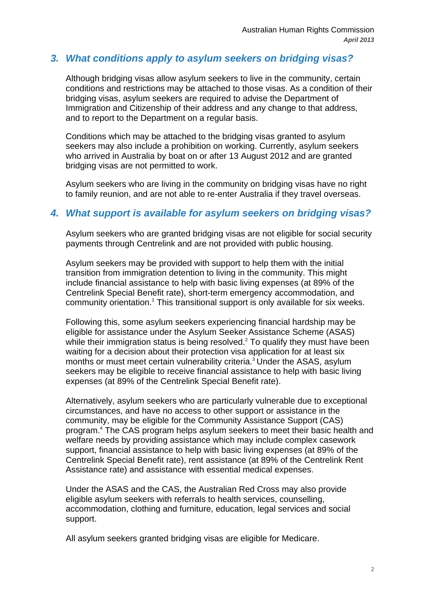## *3. What conditions apply to asylum seekers on bridging visas?*

Although bridging visas allow asylum seekers to live in the community, certain conditions and restrictions may be attached to those visas. As a condition of their bridging visas, asylum seekers are required to advise the Department of Immigration and Citizenship of their address and any change to that address, and to report to the Department on a regular basis.

Conditions which may be attached to the bridging visas granted to asylum seekers may also include a prohibition on working. Currently, asylum seekers who arrived in Australia by boat on or after 13 August 2012 and are granted bridging visas are not permitted to work.

Asylum seekers who are living in the community on bridging visas have no right to family reunion, and are not able to re-enter Australia if they travel overseas.

#### *4. What support is available for asylum seekers on bridging visas?*

Asylum seekers who are granted bridging visas are not eligible for social security payments through Centrelink and are not provided with public housing.

Asylum seekers may be provided with support to help them with the initial transition from immigration detention to living in the community. This might include financial assistance to help with basic living expenses (at 89% of the Centrelink Special Benefit rate), short-term emergency accommodation, and community orientation.<sup>1</sup> This transitional support is only available for six weeks.

Following this, some asylum seekers experiencing financial hardship may be eligible for assistance under the Asylum Seeker Assistance Scheme (ASAS) while their immigration status is being resolved. $2$  To qualify they must have been waiting for a decision about their protection visa application for at least six months or must meet certain vulnerability criteria.<sup>3</sup> Under the ASAS, asylum seekers may be eligible to receive financial assistance to help with basic living expenses (at 89% of the Centrelink Special Benefit rate).

Alternatively, asylum seekers who are particularly vulnerable due to exceptional circumstances, and have no access to other support or assistance in the community, may be eligible for the Community Assistance Support (CAS) program.4 The CAS program helps asylum seekers to meet their basic health and welfare needs by providing assistance which may include complex casework support, financial assistance to help with basic living expenses (at 89% of the Centrelink Special Benefit rate), rent assistance (at 89% of the Centrelink Rent Assistance rate) and assistance with essential medical expenses.

Under the ASAS and the CAS, the Australian Red Cross may also provide eligible asylum seekers with referrals to health services, counselling, accommodation, clothing and furniture, education, legal services and social support.

All asylum seekers granted bridging visas are eligible for Medicare.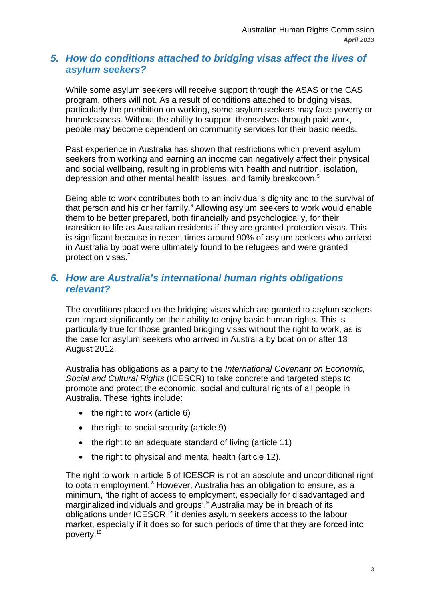# *5. How do conditions attached to bridging visas affect the lives of asylum seekers?*

While some asylum seekers will receive support through the ASAS or the CAS program, others will not. As a result of conditions attached to bridging visas, particularly the prohibition on working, some asylum seekers may face poverty or homelessness. Without the ability to support themselves through paid work, people may become dependent on community services for their basic needs.

Past experience in Australia has shown that restrictions which prevent asylum seekers from working and earning an income can negatively affect their physical and social wellbeing, resulting in problems with health and nutrition, isolation, depression and other mental health issues, and family breakdown.<sup>5</sup>

Being able to work contributes both to an individual's dignity and to the survival of that person and his or her family.<sup>6</sup> Allowing asylum seekers to work would enable them to be better prepared, both financially and psychologically, for their transition to life as Australian residents if they are granted protection visas. This is significant because in recent times around 90% of asylum seekers who arrived in Australia by boat were ultimately found to be refugees and were granted protection visas.<sup>7</sup>

## *6. How are Australia's international human rights obligations relevant?*

The conditions placed on the bridging visas which are granted to asylum seekers can impact significantly on their ability to enjoy basic human rights. This is particularly true for those granted bridging visas without the right to work, as is the case for asylum seekers who arrived in Australia by boat on or after 13 August 2012.

Australia has obligations as a party to the *International Covenant on Economic, Social and Cultural Rights* (ICESCR) to take concrete and targeted steps to promote and protect the economic, social and cultural rights of all people in Australia. These rights include:

- $\bullet$  the right to work (article 6)
- $\bullet$  the right to social security (article 9)
- the right to an adequate standard of living (article 11)
- $\bullet$  the right to physical and mental health (article 12).

The right to work in article 6 of ICESCR is not an absolute and unconditional right to obtain employment.<sup>8</sup> However, Australia has an obligation to ensure, as a minimum, 'the right of access to employment, especially for disadvantaged and marginalized individuals and groups'.<sup>9</sup> Australia may be in breach of its obligations under ICESCR if it denies asylum seekers access to the labour market, especially if it does so for such periods of time that they are forced into poverty.10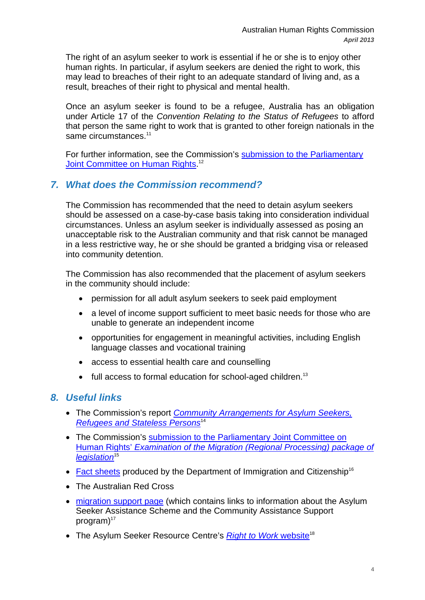The right of an asylum seeker to work is essential if he or she is to enjoy other human rights. In particular, if asylum seekers are denied the right to work, this may lead to breaches of their right to an adequate standard of living and, as a result, breaches of their right to physical and mental health.

Once an asylum seeker is found to be a refugee, Australia has an obligation under Article 17 of the *Convention Relating to the Status of Refugees* to afford that person the same right to work that is granted to other foreign nationals in the same circumstances.<sup>11</sup>

For further information, see the Commission's submission to the Parliamentary Joint Committee on Human Rights.<sup>12</sup>

## *7. What does the Commission recommend?*

The Commission has recommended that the need to detain asylum seekers should be assessed on a case-by-case basis taking into consideration individual circumstances. Unless an asylum seeker is individually assessed as posing an unacceptable risk to the Australian community and that risk cannot be managed in a less restrictive way, he or she should be granted a bridging visa or released into community detention.

The Commission has also recommended that the placement of asylum seekers in the community should include:

- permission for all adult asylum seekers to seek paid employment
- a level of income support sufficient to meet basic needs for those who are unable to generate an independent income
- opportunities for engagement in meaningful activities, including English language classes and vocational training
- access to essential health care and counselling
- $\bullet$  full access to formal education for school-aged children.<sup>13</sup>

## *8. Useful links*

- The Commission's report *Community Arrangements for Asylum Seekers, Refugees and Stateless Persons*<sup>14</sup>
- The Commission's submission to the Parliamentary Joint Committee on Human Rights' *Examination of the Migration (Regional Processing) package of legislation*<sup>15</sup>
- Fact sheets produced by the Department of Immigration and Citizenship<sup>16</sup>
- The Australian Red Cross
- migration support page (which contains links to information about the Asylum Seeker Assistance Scheme and the Community Assistance Support program $)^{17}$
- The Asylum Seeker Resource Centre's *Right to Work* website<sup>18</sup>